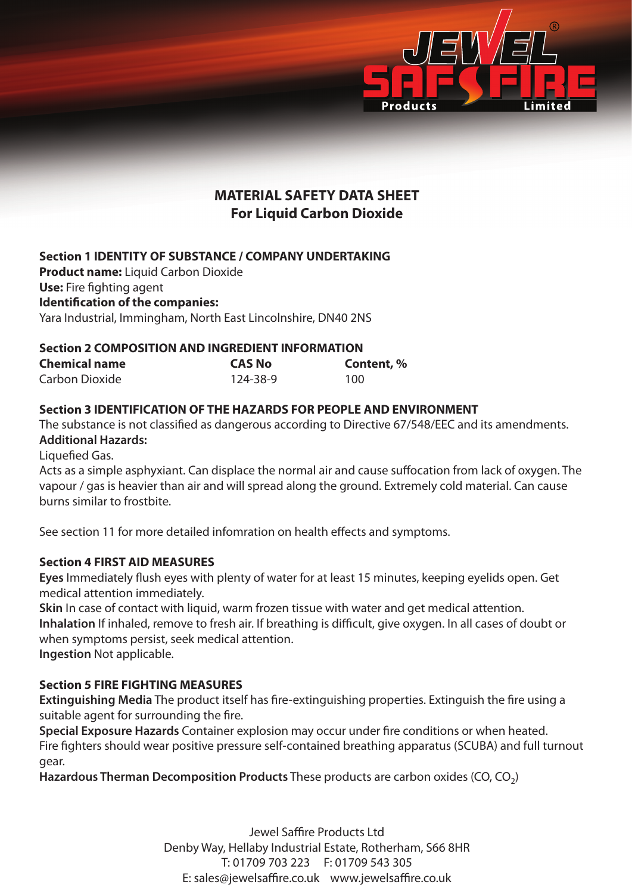

# **MATERIAL SAFETY DATA SHEET For Liquid Carbon Dioxide**

# **Section 1 IDENTITY OF SUBSTANCE / COMPANY UNDERTAKING**

**Product name:** Liquid Carbon Dioxide **Use:** Fire fighting agent **Identification of the companies:** Yara Industrial, Immingham, North East Lincolnshire, DN40 2NS

# **Section 2 COMPOSITION AND INGREDIENT INFORMATION**

| <b>Chemical name</b> | <b>CAS No</b> | Content, % |
|----------------------|---------------|------------|
| Carbon Dioxide       | 124-38-9      | 100        |

# **Section 3 IDENTIFICATION OF THE HAZARDS FOR PEOPLE AND ENVIRONMENT**

The substance is not classified as dangerous according to Directive 67/548/EEC and its amendments. **Additional Hazards:**

Liquefied Gas.

Acts as a simple asphyxiant. Can displace the normal air and cause suffocation from lack of oxygen. The vapour / gas is heavier than air and will spread along the ground. Extremely cold material. Can cause burns similar to frostbite.

See section 11 for more detailed infomration on health effects and symptoms.

# **Section 4 FIRST AID MEASURES**

**Eyes** Immediately flush eyes with plenty of water for at least 15 minutes, keeping eyelids open. Get medical attention immediately.

**Skin** In case of contact with liquid, warm frozen tissue with water and get medical attention. **Inhalation** If inhaled, remove to fresh air. If breathing is difficult, give oxygen. In all cases of doubt or when symptoms persist, seek medical attention. **Ingestion** Not applicable.

# **Section 5 FIRE FIGHTING MEASURES**

**Extinguishing Media** The product itself has fire-extinguishing properties. Extinguish the fire using a suitable agent for surrounding the fire.

**Special Exposure Hazards** Container explosion may occur under fire conditions or when heated. Fire fighters should wear positive pressure self-contained breathing apparatus (SCUBA) and full turnout gear.

**Hazardous Therman Decomposition Products** These products are carbon oxides (CO, CO<sub>2</sub>)

Jewel Saffire Products Ltd Denby Way, Hellaby Industrial Estate, Rotherham, S66 8HR T: 01709 703 223 F: 01709 543 305 E: sales@jewelsaffire.co.uk www.jewelsaffire.co.uk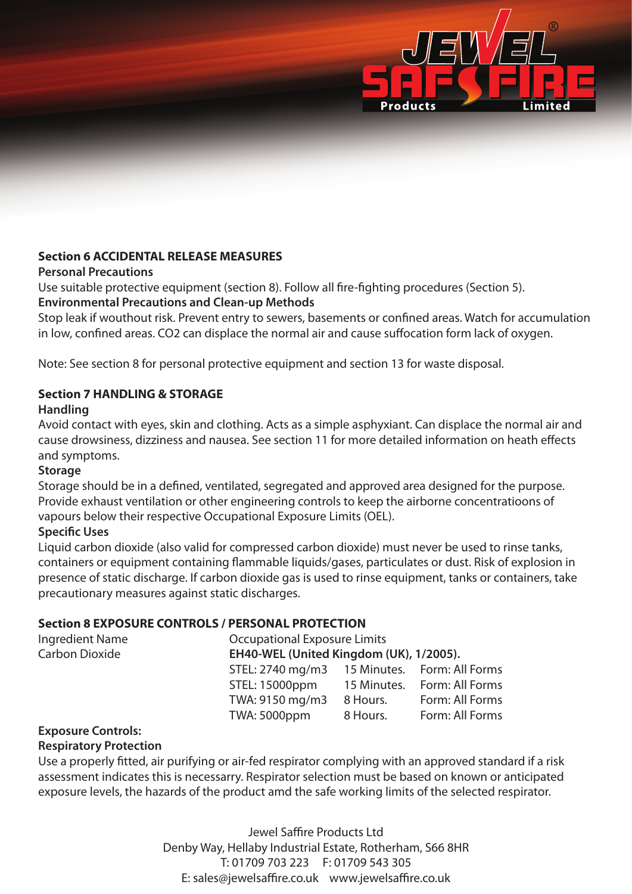

# **Section 6 ACCIDENTAL RELEASE MEASURES**

#### **Personal Precautions**

Use suitable protective equipment (section 8). Follow all fire-fighting procedures (Section 5). **Environmental Precautions and Clean-up Methods**

Stop leak if wouthout risk. Prevent entry to sewers, basements or confined areas. Watch for accumulation in low, confined areas. CO2 can displace the normal air and cause suffocation form lack of oxygen.

Note: See section 8 for personal protective equipment and section 13 for waste disposal.

# **Section 7 HANDLING & STORAGE**

# **Handling**

Avoid contact with eyes, skin and clothing. Acts as a simple asphyxiant. Can displace the normal air and cause drowsiness, dizziness and nausea. See section 11 for more detailed information on heath effects and symptoms.

#### **Storage**

Storage should be in a defined, ventilated, segregated and approved area designed for the purpose. Provide exhaust ventilation or other engineering controls to keep the airborne concentratioons of vapours below their respective Occupational Exposure Limits (OEL).

# **Specific Uses**

Liquid carbon dioxide (also valid for compressed carbon dioxide) must never be used to rinse tanks, containers or equipment containing flammable liquids/gases, particulates or dust. Risk of explosion in presence of static discharge. If carbon dioxide gas is used to rinse equipment, tanks or containers, take precautionary measures against static discharges.

# **Section 8 EXPOSURE CONTROLS / PERSONAL PROTECTION**

| Ingredient Name | <b>Occupational Exposure Limits</b>          |                                         |                             |  |
|-----------------|----------------------------------------------|-----------------------------------------|-----------------------------|--|
| Carbon Dioxide  |                                              | EH40-WEL (United Kingdom (UK), 1/2005). |                             |  |
|                 | STEL: 2740 mg/m3 15 Minutes. Form: All Forms |                                         |                             |  |
|                 | STEL: 15000ppm                               |                                         | 15 Minutes. Form: All Forms |  |
|                 | TWA: 9150 mg/m3                              | 8 Hours.                                | Form: All Forms             |  |
|                 | <b>TWA: 5000ppm</b>                          | 8 Hours.                                | Form: All Forms             |  |

#### **Exposure Controls:**

# **Respiratory Protection**

Use a properly fitted, air purifying or air-fed respirator complying with an approved standard if a risk assessment indicates this is necessarry. Respirator selection must be based on known or anticipated exposure levels, the hazards of the product amd the safe working limits of the selected respirator.

> Jewel Saffire Products Ltd Denby Way, Hellaby Industrial Estate, Rotherham, S66 8HR T: 01709 703 223 F: 01709 543 305 E: sales@jewelsaffire.co.uk www.jewelsaffire.co.uk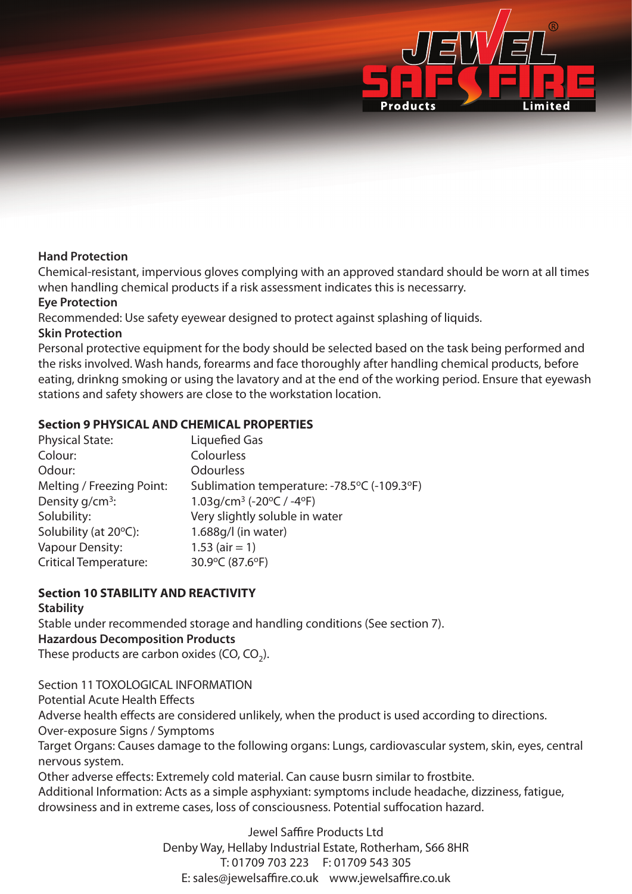

#### **Hand Protection**

Chemical-resistant, impervious gloves complying with an approved standard should be worn at all times when handling chemical products if a risk assessment indicates this is necessarry.

#### **Eye Protection**

Recommended: Use safety eyewear designed to protect against splashing of liquids.

#### **Skin Protection**

Personal protective equipment for the body should be selected based on the task being performed and the risks involved. Wash hands, forearms and face thoroughly after handling chemical products, before eating, drinkng smoking or using the lavatory and at the end of the working period. Ensure that eyewash stations and safety showers are close to the workstation location.

# **Section 9 PHYSICAL AND CHEMICAL PROPERTIES**

| <b>Physical State:</b>          | Liquefied Gas                               |
|---------------------------------|---------------------------------------------|
| Colour:                         | Colourless                                  |
| Odour:                          | <b>Odourless</b>                            |
| Melting / Freezing Point:       | Sublimation temperature: -78.5°C (-109.3°F) |
| Density g/cm <sup>3</sup> :     | 1.03g/cm <sup>3</sup> (-20°C / -4°F)        |
| Solubility:                     | Very slightly soluble in water              |
| Solubility (at $20^{\circ}$ C): | $1.688q/l$ (in water)                       |
| <b>Vapour Density:</b>          | $1.53$ (air = 1)                            |
| <b>Critical Temperature:</b>    | 30.9°C (87.6°F)                             |

# **Section 10 STABILITY AND REACTIVITY**

#### **Stability**

Stable under recommended storage and handling conditions (See section 7).

# **Hazardous Decomposition Products**

These products are carbon oxides (CO,  $CO<sub>2</sub>$ ).

Section 11 TOXOLOGICAL INFORMATION Potential Acute Health Effects Adverse health effects are considered unlikely, when the product is used according to directions. Over-exposure Signs / Symptoms Target Organs: Causes damage to the following organs: Lungs, cardiovascular system, skin, eyes, central nervous system. Other adverse effects: Extremely cold material. Can cause busrn similar to frostbite. Additional Information: Acts as a simple asphyxiant: symptoms include headache, dizziness, fatigue, drowsiness and in extreme cases, loss of consciousness. Potential suffocation hazard.

> Jewel Saffire Products Ltd Denby Way, Hellaby Industrial Estate, Rotherham, S66 8HR T: 01709 703 223 F: 01709 543 305 E: sales@jewelsaffire.co.uk www.jewelsaffire.co.uk